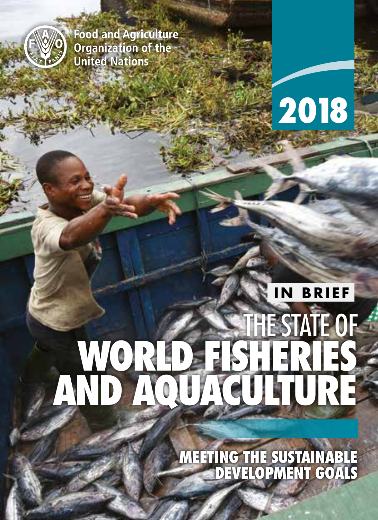

**Food and Agriculture Organization of the United Nations** 

# 2018 2018

**2018 2018 2018 2018 2018** 

# **IN BRIEF**

# THE STATE OF WORLD FISHERIES AND AQUACULTURE

MEETING THE SUSTAINABLE DEVELOPMENT GOALS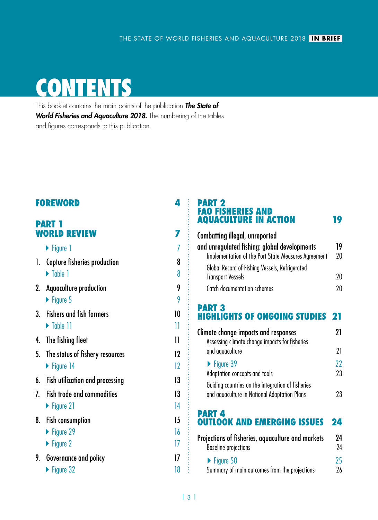# **CONTENTS**

This booklet contains the main points of the publication *The State of World Fisheries and Aquaculture 2018.* The numbering of the tables and figures corresponds to this publication.

#### [FOREWORD](#page-3-0) 4

#### PART 1 WORLD REVIEW [7](#page-6-0)

|    | $\blacktriangleright$ Figure 1     | 7  |
|----|------------------------------------|----|
| l. | Capture fisheries production       | 8  |
|    | $\triangleright$ Table 1           | 8  |
|    | 2. Aquaculture production          | 9  |
|    | $\triangleright$ Figure 5          | 9  |
| 3. | <b>Fishers and fish farmers</b>    | 10 |
|    | $\triangleright$ Table 11          | 11 |
| 4. | The fishing fleet                  | 11 |
|    | 5. The status of fishery resources | 12 |
|    | $\triangleright$ Figure 14         | 12 |
| 6. | Fish utilization and processing    | 13 |
| 7  | <b>Fish trade and commodities</b>  | 13 |
|    | $\blacktriangleright$ Figure 21    | 14 |
| 8. | <b>Fish consumption</b>            | 15 |
|    | $\blacktriangleright$ Figure 29    | 16 |
|    | $\blacktriangleright$ Figure 2     | 17 |
| 9. | Governance and policy              | 17 |
|    | $\blacktriangleright$ Figure 32    | 18 |

#### PART 2 FAO FISHERIES AND AQUACULTURE IN ACTIO[N](#page-6-0) 19

| <b>Combatting illegal, unreported</b>               |    |
|-----------------------------------------------------|----|
| and unregulated fishing: global developments        | 19 |
| Implementation of the Port State Measures Agreement | 20 |
| Global Record of Fishing Vessels, Refrigerated      |    |
| <b>Transport Vessels</b>                            | 20 |
| Catch documentation schemes                         | 20 |

#### PART 3 HIGHLIGHTS OF ONGOING STUDIE[S](#page-6-0) 21

| Climate change impacts and responses<br>Assessing climate change impacts for fisheries            |          |  |  |  |
|---------------------------------------------------------------------------------------------------|----------|--|--|--|
| and aguaculture                                                                                   | 21       |  |  |  |
| $\blacktriangleright$ Figure 39<br>Adaptation concepts and tools                                  | 22<br>23 |  |  |  |
| Guiding countries on the integration of fisheries<br>and aquaculture in National Adaptation Plans | 23       |  |  |  |

#### PART 4

# OUTLOOK AND EMERGING ISSUES [2](#page-6-0)4

| Projections of fisheries, aquaculture and markets<br><b>Baseline projections</b><br>$\blacktriangleright$ Figure 50 |    |
|---------------------------------------------------------------------------------------------------------------------|----|
|                                                                                                                     | 25 |
| Summary of main outcomes from the projections                                                                       | 26 |

÷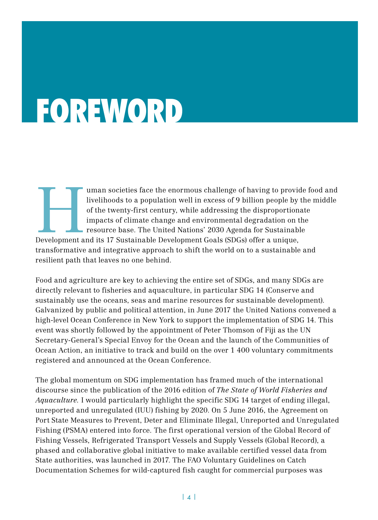# <span id="page-3-0"></span>FOREWORD

Iman societies face the enormous challenge of having to provide food and livelihoods to a population well in excess of 9 billion people by the middle of the twenty-first century, while addressing the disproportionate impac livelihoods to a population well in excess of 9 billion people by the middle of the twenty-first century, while addressing the disproportionate impacts of climate change and environmental degradation on the resource base. The United Nations' 2030 Agenda for Sustainable transformative and integrative approach to shift the world on to a sustainable and

resilient path that leaves no one behind.

Food and agriculture are key to achieving the entire set of SDGs, and many SDGs are directly relevant to fisheries and aquaculture, in particular SDG 14 (Conserve and sustainably use the oceans, seas and marine resources for sustainable development). Galvanized by public and political attention, in June 2017 the United Nations convened a high-level Ocean Conference in New York to support the implementation of SDG 14. This event was shortly followed by the appointment of Peter Thomson of Fiji as the UN Secretary-General's Special Envoy for the Ocean and the launch of the Communities of Ocean Action, an initiative to track and build on the over 1 400 voluntary commitments registered and announced at the Ocean Conference.

The global momentum on SDG implementation has framed much of the international discourse since the publication of the 2016 edition of *The State of World Fisheries and Aquaculture.* I would particularly highlight the specific SDG 14 target of ending illegal, unreported and unregulated (IUU) fishing by 2020. On 5 June 2016, the Agreement on Port State Measures to Prevent, Deter and Eliminate Illegal, Unreported and Unregulated Fishing (PSMA) entered into force. The first operational version of the Global Record of Fishing Vessels, Refrigerated Transport Vessels and Supply Vessels (Global Record), a phased and collaborative global initiative to make available certified vessel data from State authorities, was launched in 2017. The FAO Voluntary Guidelines on Catch Documentation Schemes for wild-captured fish caught for commercial purposes was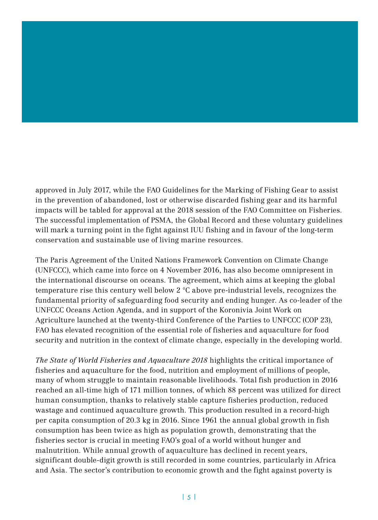approved in July 2017, while the FAO Guidelines for the Marking of Fishing Gear to assist in the prevention of abandoned, lost or otherwise discarded fishing gear and its harmful impacts will be tabled for approval at the 2018 session of the FAO Committee on Fisheries. The successful implementation of PSMA, the Global Record and these voluntary guidelines will mark a turning point in the fight against IUU fishing and in favour of the long-term conservation and sustainable use of living marine resources.

The Paris Agreement of the United Nations Framework Convention on Climate Change (UNFCCC), which came into force on 4 November 2016, has also become omnipresent in the international discourse on oceans. The agreement, which aims at keeping the global temperature rise this century well below 2 °C above pre-industrial levels, recognizes the fundamental priority of safeguarding food security and ending hunger. As co-leader of the UNFCCC Oceans Action Agenda, and in support of the Koronivia Joint Work on Agriculture launched at the twenty-third Conference of the Parties to UNFCCC (COP 23), FAO has elevated recognition of the essential role of fisheries and aquaculture for food security and nutrition in the context of climate change, especially in the developing world.

*The State of World Fisheries and Aquaculture 2018* highlights the critical importance of fisheries and aquaculture for the food, nutrition and employment of millions of people, many of whom struggle to maintain reasonable livelihoods. Total fish production in 2016 reached an all-time high of 171 million tonnes, of which 88 percent was utilized for direct human consumption, thanks to relatively stable capture fisheries production, reduced wastage and continued aquaculture growth. This production resulted in a record-high per capita consumption of 20.3 kg in 2016. Since 1961 the annual global growth in fish consumption has been twice as high as population growth, demonstrating that the fisheries sector is crucial in meeting FAO's goal of a world without hunger and malnutrition. While annual growth of aquaculture has declined in recent years, significant double-digit growth is still recorded in some countries, particularly in Africa and Asia. The sector's contribution to economic growth and the fight against poverty is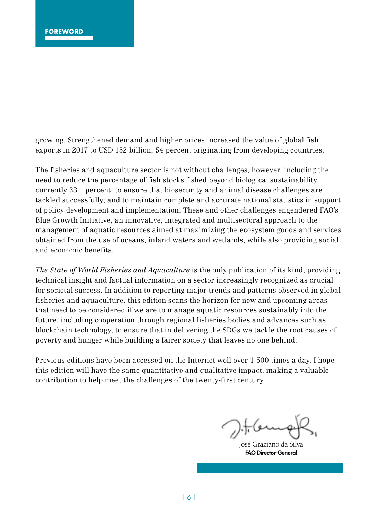growing. Strengthened demand and higher prices increased the value of global fish exports in 2017 to USD 152 billion, 54 percent originating from developing countries.

The fisheries and aquaculture sector is not without challenges, however, including the need to reduce the percentage of fish stocks fished beyond biological sustainability, currently 33.1 percent; to ensure that biosecurity and animal disease challenges are tackled successfully; and to maintain complete and accurate national statistics in support of policy development and implementation. These and other challenges engendered FAO's Blue Growth Initiative, an innovative, integrated and multisectoral approach to the management of aquatic resources aimed at maximizing the ecosystem goods and services obtained from the use of oceans, inland waters and wetlands, while also providing social and economic benefits.

*The State of World Fisheries and Aquaculture* is the only publication of its kind, providing technical insight and factual information on a sector increasingly recognized as crucial for societal success. In addition to reporting major trends and patterns observed in global fisheries and aquaculture, this edition scans the horizon for new and upcoming areas that need to be considered if we are to manage aquatic resources sustainably into the future, including cooperation through regional fisheries bodies and advances such as blockchain technology, to ensure that in delivering the SDGs we tackle the root causes of poverty and hunger while building a fairer society that leaves no one behind.

Previous editions have been accessed on the Internet well over 1 500 times a day. I hope this edition will have the same quantitative and qualitative impact, making a valuable contribution to help meet the challenges of the twenty-first century.

José Graziano da Silva FAO Director-General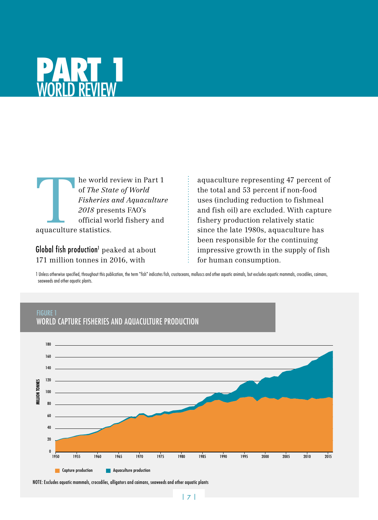<span id="page-6-0"></span>

The world review in Part 1<br>of *The State of World<br>Fisheries and Aquaculture<br>2018* presents FAO's<br>official world fishery and<br>aquaculture statistics. of *The State of World Fisheries and Aquaculture 2018* presents FAO's official world fishery and aquaculture statistics.

FIGURE 1

Global fish production<sup>1</sup>  $\rm peaked$  at about 171 million tonnes in 2016, with

aquaculture representing 47 percent of the total and 53 percent if non-food uses (including reduction to fishmeal and fish oil) are excluded. With capture fishery production relatively static since the late 1980s, aquaculture has been responsible for the continuing impressive growth in the supply of fish for human consumption.

1 Unless otherwise specified, throughout this publication, the term "fish" indicates fish, crustaceans, molluscs and other aquatic animals, but excludes aquatic mammals, crocodiles, caimans, seaweeds and other aquatic plants.



#### WORLD CAPTURE FISHERIES AND AQUACULTURE PRODUCTION

NOTE: Excludes aquatic mammals, crocodiles, alligators and caimans, seaweeds and other aquatic plants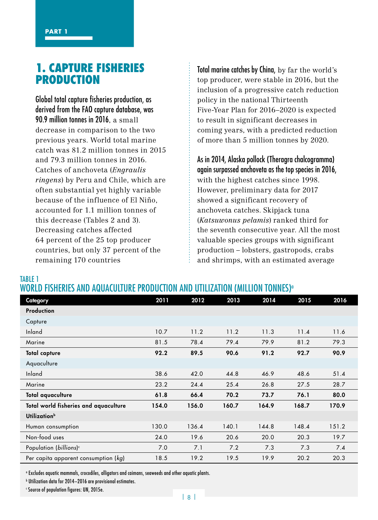TABLE 1

#### 1. CAPTURE FISHERIES PRODUCTION

Global total capture fisheries production, as derived from the FAO capture database, was 90.9 million tonnes in 2016, a small decrease in comparison to the two previous years. World total marine catch was 81.2 million tonnes in 2015 and 79.3 million tonnes in 2016. Catches of anchoveta (*Engraulis ringens*) by Peru and Chile, which are often substantial yet highly variable because of the influence of El Niño, accounted for 1.1 million tonnes of this decrease (Tables 2 and 3). Decreasing catches affected 64 percent of the 25 top producer countries, but only 37 percent of the remaining 170 countries

Total marine catches by China, by far the world's top producer, were stable in 2016, but the inclusion of a progressive catch reduction policy in the national Thirteenth Five-Year Plan for 2016–2020 is expected to result in significant decreases in coming years, with a predicted reduction of more than 5 million tonnes by 2020.

As in 2014, Alaska pollock (Theragra chalcogramma) again surpassed anchoveta as the top species in 2016, with the highest catches since 1998. However, preliminary data for 2017 showed a significant recovery of anchoveta catches. Skipjack tuna (*Katsuwonus pelamis*) ranked third for the seventh consecutive year. All the most valuable species groups with significant production – lobsters, gastropods, crabs and shrimps, with an estimated average

#### WORLD FISHERIES AND AQUACULTURE PRODUCTION AND UTILIZATION (MILLION TONNES)<sup>®</sup>

| Category                              | 2011  | 2012  | 2013  | 2014  | 2015  | 2016  |
|---------------------------------------|-------|-------|-------|-------|-------|-------|
| Production                            |       |       |       |       |       |       |
| Capture                               |       |       |       |       |       |       |
| Inland                                | 10.7  | 11.2  | 11.2  | 11.3  | 11.4  | 11.6  |
| Marine                                | 81.5  | 78.4  | 79.4  | 79.9  | 81.2  | 79.3  |
| <b>Total capture</b>                  | 92.2  | 89.5  | 90.6  | 91.2  | 92.7  | 90.9  |
| Aquaculture                           |       |       |       |       |       |       |
| Inland                                | 38.6  | 42.0  | 44.8  | 46.9  | 48.6  | 51.4  |
| Marine                                | 23.2  | 24.4  | 25.4  | 26.8  | 27.5  | 28.7  |
| Total aguaculture                     | 61.8  | 66.4  | 70.2  | 73.7  | 76.1  | 80.0  |
| Total world fisheries and aquaculture | 154.0 | 156.0 | 160.7 | 164.9 | 168.7 | 170.9 |
| Utilization <sup>b</sup>              |       |       |       |       |       |       |
| Human consumption                     | 130.0 | 136.4 | 140.1 | 144.8 | 148.4 | 151.2 |
| Non-food uses                         | 24.0  | 19.6  | 20.6  | 20.0  | 20.3  | 19.7  |
| Population (billions) <sup>c</sup>    | 7.0   | 7.1   | 7.2   | 7.3   | 7.3   | 7.4   |
| Per capita apparent consumption (kg)  | 18.5  | 19.2  | 19.5  | 19.9  | 20.2  | 20.3  |

a Excludes aquatic mammals, crocodiles, alligators and caimans, seaweeds and other aquatic plants.

b Utilization data for 2014–2016 are provisional estimates.

c Source of population figures: UN, 2015e.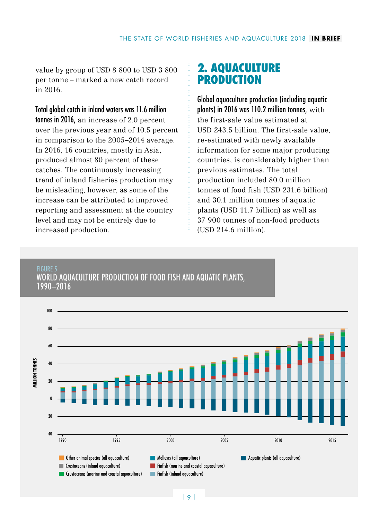value by group of USD 8 800 to USD 3 800 per tonne – marked a new catch record in 2016.

Total global catch in inland waters was 11.6 million tonnes in 2016, an increase of 2.0 percent over the previous year and of 10.5 percent in comparison to the 2005–2014 average. In 2016, 16 countries, mostly in Asia, produced almost 80 percent of these catches. The continuously increasing trend of inland fisheries production may be misleading, however, as some of the increase can be attributed to improved reporting and assessment at the country level and may not be entirely due to increased production.

### 2. AQUACULTURE PRODUCTION

Global aquaculture production (including aquatic plants) in 2016 was 110.2 million tonnes,  $with$ the first-sale value estimated at USD 243.5 billion. The first-sale value, re-estimated with newly available information for some major producing countries, is considerably higher than previous estimates. The total production included 80.0 million tonnes of food fish (USD 231.6 billion) and 30.1 million tonnes of aquatic plants (USD 11.7 billion) as well as 37 900 tonnes of non-food products (USD 214.6 million).

#### FIGURE 5 WORLD AQUACULTURE PRODUCTION OF FOOD FISH AND AQUATIC PLANTS, 1990–2016

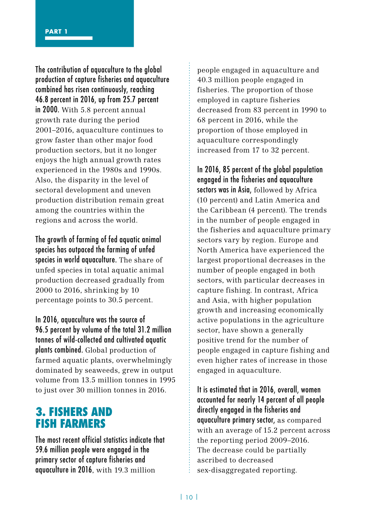The contribution of aquaculture to the global production of capture fisheries and aquaculture combined has risen continuously, reaching 46.8 percent in 2016, up from 25.7 percent in 2000. With 5.8 percent annual growth rate during the period 2001–2016, aquaculture continues to grow faster than other major food production sectors, but it no longer enjoys the high annual growth rates experienced in the 1980s and 1990s. Also, the disparity in the level of sectoral development and uneven production distribution remain great among the countries within the regions and across the world.

The growth of farming of fed aquatic animal species has outpaced the farming of unfed species in world aquaculture. The share of unfed species in total aquatic animal production decreased gradually from 2000 to 2016, shrinking by 10 percentage points to 30.5 percent.

In 2016, aquaculture was the source of 96.5 percent by volume of the total 31.2 million tonnes of wild-collected and cultivated aquatic plants combined. Global production of farmed aquatic plants, overwhelmingly dominated by seaweeds, grew in output volume from 13.5 million tonnes in 1995 to just over 30 million tonnes in 2016.

### 3. FISHERS AND FISH FARMERS

The most recent official statistics indicate that 59.6 million people were engaged in the primary sector of capture fisheries and aquaculture in 2016, with 19.3 million

people engaged in aquaculture and 40.3 million people engaged in fisheries. The proportion of those employed in capture fisheries decreased from 83 percent in 1990 to 68 percent in 2016, while the proportion of those employed in aquaculture correspondingly increased from 17 to 32 percent.

In 2016, 85 percent of the global population engaged in the fisheries and aquaculture sectors was in Asia, followed by Africa (10 percent) and Latin America and the Caribbean (4 percent). The trends in the number of people engaged in the fisheries and aquaculture primary sectors vary by region. Europe and North America have experienced the largest proportional decreases in the number of people engaged in both sectors, with particular decreases in capture fishing. In contrast, Africa and Asia, with higher population growth and increasing economically active populations in the agriculture sector, have shown a generally positive trend for the number of people engaged in capture fishing and even higher rates of increase in those engaged in aquaculture.

It is estimated that in 2016, overall, women accounted for nearly 14 percent of all people directly engaged in the fisheries and aquaculture primary sector, as compared with an average of 15.2 percent across the reporting period 2009–2016. The decrease could be partially ascribed to decreased sex-disaggregated reporting.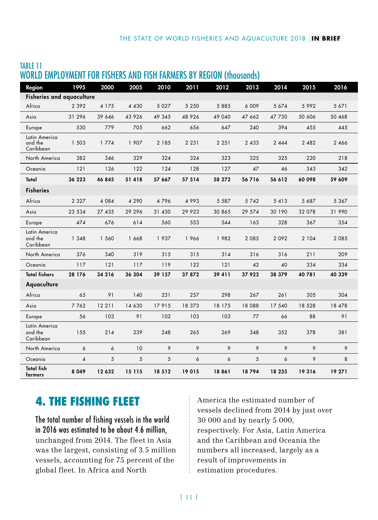| Region                                | 1995           | 2000    | 2005    | 2010    | 2011    | 2012    | 2013    | 2014    | 2015    | 2016    |
|---------------------------------------|----------------|---------|---------|---------|---------|---------|---------|---------|---------|---------|
| <b>Fisheries and aguaculture</b>      |                |         |         |         |         |         |         |         |         |         |
| Africa                                | 2 3 9 2        | 4 1 7 5 | 4 4 3 0 | 5 0 2 7 | 5 2 5 0 | 5885    | 6 0 0 9 | 5 674   | 5992    | 5 671   |
| Asia                                  | 31 296         | 39 646  | 43 926  | 49 345  | 48 9 26 | 49 040  | 47 662  | 47 730  | 50 606  | 50 468  |
| Europe                                | 530            | 779     | 705     | 662     | 656     | 647     | 240     | 394     | 455     | 445     |
| Latin America<br>and the<br>Caribbean | 1 503          | 1774    | 1 907   | 2 1 8 5 | 2 2 3 1 | 2 2 5 1 | 2 4 3 3 | 2 4 4 4 | 2 4 8 2 | 2 4 6 6 |
| North America                         | 382            | 346     | 329     | 324     | 324     | 323     | 325     | 325     | 220     | 218     |
| Oceania                               | 121            | 126     | 122     | 124     | 128     | 127     | 47      | 46      | 343     | 342     |
| Total                                 | 36 223         | 46 845  | 51418   | 57 667  | 57 514  | 58 27 2 | 56716   | 56 612  | 60 098  | 59 609  |
| <b>Fisheries</b>                      |                |         |         |         |         |         |         |         |         |         |
| Africa                                | 2 3 2 7        | 4084    | 4 2 9 0 | 4796    | 4 9 9 3 | 5 5 8 7 | 5742    | 5 4 1 3 | 5 6 8 7 | 5 3 6 7 |
| Asia                                  | 23 5 34        | 27 435  | 29 29 6 | 31 430  | 29 9 23 | 30 865  | 29 574  | 30 190  | 32 078  | 31 990  |
| Europe                                | 474            | 676     | 614     | 560     | 553     | 544     | 163     | 328     | 367     | 354     |
| Latin America<br>and the<br>Caribbean | 1 3 4 8        | 1 560   | 1 668   | 1937    | 1966    | 1982    | 2 0 8 5 | 2 0 9 2 | 2 1 0 4 | 2 0 8 5 |
| North America                         | 376            | 340     | 319     | 315     | 315     | 314     | 316     | 316     | 211     | 209     |
| Oceania                               | 117            | 121     | 117     | 119     | 122     | 121     | 42      | 40      | 334     | 334     |
| <b>Total fishers</b>                  | 28 176         | 34 216  | 36 304  | 39 157  | 37 872  | 39 411  | 37 922  | 38 379  | 40781   | 40 339  |
| Aquaculture                           |                |         |         |         |         |         |         |         |         |         |
| Africa                                | 65             | 91      | 140     | 231     | 257     | 298     | 267     | 261     | 305     | 304     |
| Asia                                  | 7762           | 12 2 11 | 14 630  | 17915   | 18 373  | 18 175  | 18 088  | 17 540  | 18 5 28 | 18 478  |
| Europe                                | 56             | 103     | 91      | 102     | 103     | 103     | 77      | 66      | 88      | 91      |
| Latin America<br>and the<br>Caribbean | 155            | 214     | 239     | 248     | 265     | 269     | 348     | 352     | 378     | 381     |
| North America                         | 6              | 6       | 10      | 9       | 9       | 9       | 9       | 9       | 9       | 9       |
| Oceania                               | $\overline{4}$ | 5       | 5       | 5       | 6       | 6       | 5       | 6       | 9       | 8       |
| <b>Total fish</b><br>farmers          | 8 0 4 9        | 12 632  | 15 115  | 18 5 12 | 19015   | 18861   | 18794   | 18 235  | 19316   | 19 27 1 |

#### TABLE 11 WORLD EMPLOYMENT FOR FISHERS AND FISH FARMERS BY REGION (thousands)

## 4. THE FISHING FLEET

The total number of fishing vessels in the world in 2016 was estimated to be about 4.6 million, unchanged from 2014. The fleet in Asia was the largest, consisting of 3.5 million vessels, accounting for 75 percent of the global fleet. In Africa and North

America the estimated number of vessels declined from 2014 by just over 30 000 and by nearly 5 000, respectively. For Asia, Latin America and the Caribbean and Oceania the numbers all increased, largely as a result of improvements in estimation procedures.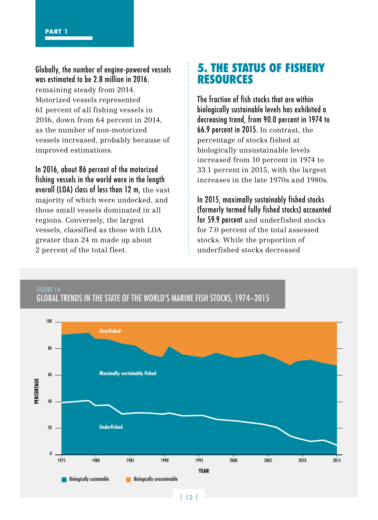FIGURE 14

Globally, the number of engine-powered vessels was estimated to be 2.8 million in 2016, remaining steady from 2014. Motorized vessels represented 61 percent of all fishing vessels in 2016, down from 64 percent in 2014, as the number of non-motorized vessels increased, probably because of improved estimations.

In 2016, about 86 percent of the motorized fishing vessels in the world were in the length overall (LOA) class of less than 12 m, the vast majority of which were undecked, and those small vessels dominated in all regions. Conversely, the largest vessels, classified as those with LOA greater than 24 m made up about 2 percent of the total fleet.

### 5. THE STATUS OF FISHERY RESOURCES

The fraction of fish stocks that are within biologically sustainable levels has exhibited a decreasing trend, from 90.0 percent in 1974 to 66.9 percent in 2015. In contrast, the percentage of stocks fished at biologically unsustainable levels increased from 10 percent in 1974 to 33.1 percent in 2015, with the largest increases in the late 1970s and 1980s.

In 2015, maximally sustainably fished stocks (formerly termed fully fished stocks) accounted for 59.9 percent and underfished stocks for 7.0 percent of the total assessed stocks. While the proportion of underfished stocks decreased



GLOBAL TRENDS IN THE STATE OF THE WORLD'S MARINE FISH STOCKS, 1974–2015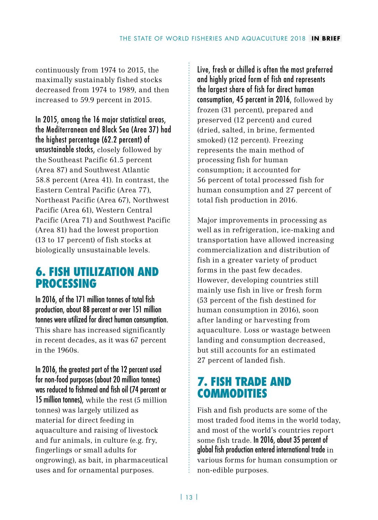continuously from 1974 to 2015, the maximally sustainably fished stocks decreased from 1974 to 1989, and then increased to 59.9 percent in 2015.

In 2015, among the 16 major statistical areas, the Mediterranean and Black Sea (Area 37) had the highest percentage (62.2 percent) of unsustainable stocks, closely followed by the Southeast Pacific 61.5 percent (Area 87) and Southwest Atlantic 58.8 percent (Area 41). In contrast, the Eastern Central Pacific (Area 77), Northeast Pacific (Area 67), Northwest Pacific (Area 61), Western Central Pacific (Area 71) and Southwest Pacific (Area 81) had the lowest proportion (13 to 17 percent) of fish stocks at biologically unsustainable levels.

### 6. FISH UTILIZATION AND PROCESSING

In 2016, of the 171 million tonnes of total fish production, about 88 percent or over 151 million tonnes were utilized for direct human consumption. This share has increased significantly in recent decades, as it was 67 percent in the 1960s.

In 2016, the greatest part of the 12 percent used for non-food purposes (about 20 million tonnes) was reduced to fishmeal and fish oil (74 percent or 15 million tonnes), while the rest (5 million tonnes) was largely utilized as material for direct feeding in aquaculture and raising of livestock and fur animals, in culture (e.g. fry, fingerlings or small adults for ongrowing), as bait, in pharmaceutical uses and for ornamental purposes.

Live, fresh or chilled is often the most preferred and highly priced form of fish and represents the largest share of fish for direct human consumption, 45 percent in 2016, followed by frozen (31 percent), prepared and preserved (12 percent) and cured (dried, salted, in brine, fermented smoked) (12 percent). Freezing represents the main method of processing fish for human consumption; it accounted for 56 percent of total processed fish for human consumption and 27 percent of total fish production in 2016.

Major improvements in processing as well as in refrigeration, ice-making and transportation have allowed increasing commercialization and distribution of fish in a greater variety of product forms in the past few decades. However, developing countries still mainly use fish in live or fresh form (53 percent of the fish destined for human consumption in 2016), soon after landing or harvesting from aquaculture. Loss or wastage between landing and consumption decreased, but still accounts for an estimated 27 percent of landed fish.

## 7. FISH TRADE AND COMMODITIES

Fish and fish products are some of the most traded food items in the world today, and most of the world's countries report some fish trade. In 2016, about 35 percent of global fish production entered international trade in various forms for human consumption or non-edible purposes.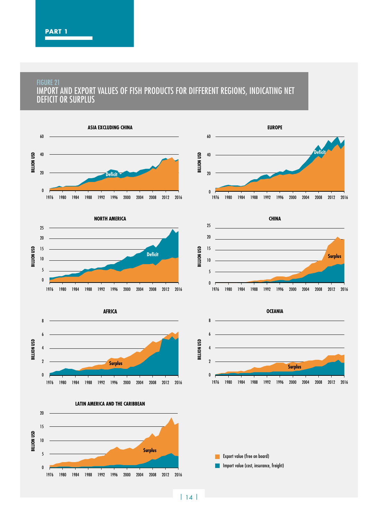#### FIGURE 21 IMPORT AND EXPORT VALUES OF FISH PRODUCTS FOR DIFFERENT REGIONS, INDICATING NET DEFICIT OR SURPLUS

















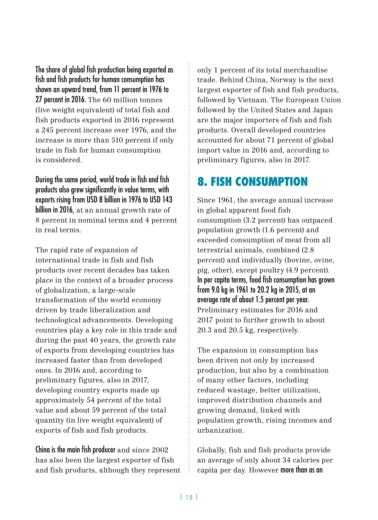The share of global fish production being exported as fish and fish products for human consumption has shown an upward trend, from 11 percent in 1976 to 27 percent in 2016. The 60 million tonnes (live weight equivalent) of total fish and fish products exported in 2016 represent a 245 percent increase over 1976, and the increase is more than 510 percent if only trade in fish for human consumption is considered.

During the same period, world trade in fish and fish products also grew significantly in value terms, with exports rising from USD 8 billion in 1976 to USD 143 billion in 2016, at an annual growth rate of 8 percent in nominal terms and 4 percent in real terms.

The rapid rate of expansion of international trade in fish and fish products over recent decades has taken place in the context of a broader process of globalization, a large-scale transformation of the world economy driven by trade liberalization and technological advancements. Developing countries play a key role in this trade and during the past 40 years, the growth rate of exports from developing countries has increased faster than from developed ones. In 2016 and, according to preliminary figures, also in 2017, developing country exports made up approximately 54 percent of the total value and about 59 percent of the total quantity (in live weight equivalent) of exports of fish and fish products.

China is the main fish producer and since 2002 has also been the largest exporter of fish and fish products, although they represent only 1 percent of its total merchandise trade. Behind China, Norway is the next largest exporter of fish and fish products, followed by Vietnam. The European Union followed by the United States and Japan are the major importers of fish and fish products. Overall developed countries accounted for about 71 percent of global import value in 2016 and, according to preliminary figures, also in 2017.

# 8. FISH CONSUMPTION

Since 1961, the average annual increase in global apparent food fish consumption (3.2 percent) has outpaced population growth (1.6 percent) and exceeded consumption of meat from all terrestrial animals, combined (2.8 percent) and individually (bovine, ovine, pig, other), except poultry (4.9 percent). In per capita terms, food fish consumption has grown from 9.0 kg in 1961 to 20.2 kg in 2015, at an average rate of about 1.5 percent per year. Preliminary estimates for 2016 and 2017 point to further growth to about 20.3 and 20.5 kg, respectively.

The expansion in consumption has been driven not only by increased production, but also by a combination of many other factors, including reduced wastage, better utilization, improved distribution channels and growing demand, linked with population growth, rising incomes and urbanization.

Globally, fish and fish products provide an average of only about 34 calories per capita per day. However more than as an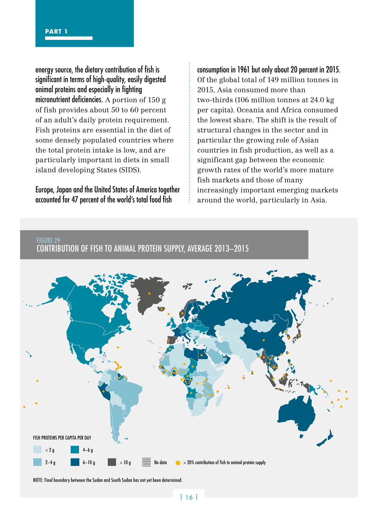energy source, the dietary contribution of fish is significant in terms of high-quality, easily digested animal proteins and especially in fighting micronutrient deficiencies. A portion of 150 g of fish provides about 50 to 60 percent of an adult's daily protein requirement. Fish proteins are essential in the diet of some densely populated countries where the total protein intake is low, and are particularly important in diets in small island developing States (SIDS).

#### Europe, Japan and the United States of America together accounted for 47 percent of the world's total food fish

consumption in 1961 but only about 20 percent in 2015. Of the global total of 149 million tonnes in 2015, Asia consumed more than two-thirds (106 million tonnes at 24.0 kg per capita). Oceania and Africa consumed the lowest share. The shift is the result of structural changes in the sector and in particular the growing role of Asian countries in fish production, as well as a significant gap between the economic growth rates of the world's more mature fish markets and those of many increasingly important emerging markets around the world, particularly in Asia.

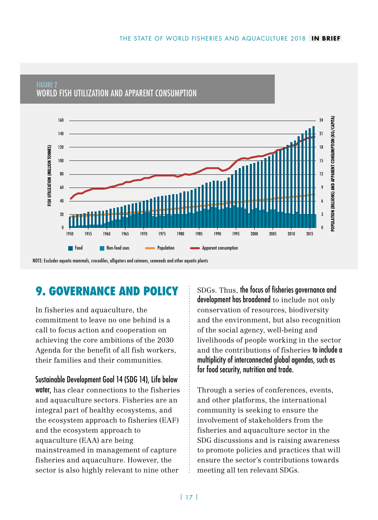

#### FIGURE 2 WORLD FISH UTILIZATION AND APPARENT CONSUMPTION

# 9. GOVERNANCE AND POLICY

In fisheries and aquaculture, the commitment to leave no one behind is a call to focus action and cooperation on achieving the core ambitions of the 2030 Agenda for the benefit of all fish workers, their families and their communities.

Sustainable Development Goal 14 (SDG 14), Life below water, has clear connections to the fisheries and aquaculture sectors. Fisheries are an integral part of healthy ecosystems, and the ecosystem approach to fisheries (EAF) and the ecosystem approach to aquaculture (EAA) are being mainstreamed in management of capture fisheries and aquaculture. However, the sector is also highly relevant to nine other

SDGs. Thus, the focus of fisheries governance and development has broadened to include not only conservation of resources, biodiversity and the environment, but also recognition of the social agency, well-being and livelihoods of people working in the sector and the contributions of fisheries to include a multiplicity of interconnected global agendas, such as for food security, nutrition and trade.

Through a series of conferences, events, and other platforms, the international community is seeking to ensure the involvement of stakeholders from the fisheries and aquaculture sector in the SDG discussions and is raising awareness to promote policies and practices that will ensure the sector's contributions towards meeting all ten relevant SDGs.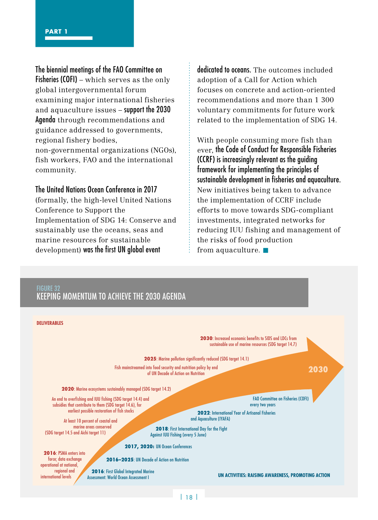The biennial meetings of the FAO Committee on Fisheries (COFI) – which serves as the only global intergovernmental forum examining major international fisheries and aquaculture issues – support the 2030 Agenda through recommendations and guidance addressed to governments, regional fishery bodies, non-governmental organizations (NGOs),

fish workers, FAO and the international community.

#### The United Nations Ocean Conference in 2017

(formally, the high-level United Nations Conference to Support the Implementation of SDG 14: Conserve and sustainably use the oceans, seas and marine resources for sustainable development) was the first UN global event

dedicated to oceans. The outcomes included adoption of a Call for Action which focuses on concrete and action-oriented recommendations and more than 1 300 voluntary commitments for future work related to the implementation of SDG 14.

With people consuming more fish than ever, the Code of Conduct for Responsible Fisheries (CCRF) is increasingly relevant as the guiding framework for implementing the principles of sustainable development in fisheries and aquaculture. New initiatives being taken to advance the implementation of CCRF include efforts to move towards SDG-compliant investments, integrated networks for reducing IUU fishing and management of the risks of food production from aquaculture.  $\blacksquare$ 

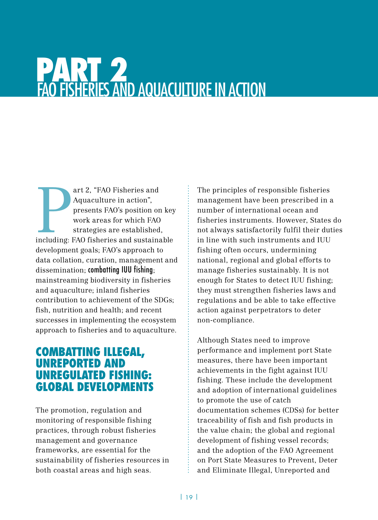# PART 2 FAO FISHERIES AND AQUACULTURE IN ACTION

art 2, "FAO Fisheries and Aquaculture in action", presents FAO's position on key work areas for which FAO strategies are established, including: FAO fisheries and sustainable art 2, "FAO Fisheries and Aquaculture in action", presents FAO's position on key work areas for which FAO strategies are established, development goals; FAO's approach to data collation, curation, management and dissemination; combatting IUU fishing; mainstreaming biodiversity in fisheries and aquaculture; inland fisheries contribution to achievement of the SDGs; fish, nutrition and health; and recent successes in implementing the ecosystem approach to fisheries and to aquaculture.

### COMBATTING ILLEGAL, UNREPORTED AND UNREGULATED FISHING: GLOBAL DEVELOPMENTS

The promotion, regulation and monitoring of responsible fishing practices, through robust fisheries management and governance frameworks, are essential for the sustainability of fisheries resources in both coastal areas and high seas.

The principles of responsible fisheries management have been prescribed in a number of international ocean and fisheries instruments. However, States do not always satisfactorily fulfil their duties in line with such instruments and IUU fishing often occurs, undermining national, regional and global efforts to manage fisheries sustainably. It is not enough for States to detect IUU fishing; they must strengthen fisheries laws and regulations and be able to take effective action against perpetrators to deter non-compliance.

Although States need to improve performance and implement port State measures, there have been important achievements in the fight against IUU fishing. These include the development and adoption of international guidelines to promote the use of catch documentation schemes (CDSs) for better traceability of fish and fish products in the value chain; the global and regional development of fishing vessel records; and the adoption of the FAO Agreement on Port State Measures to Prevent, Deter and Eliminate Illegal, Unreported and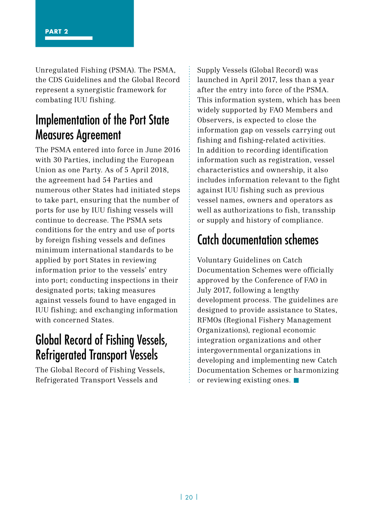Unregulated Fishing (PSMA). The PSMA, the CDS Guidelines and the Global Record represent a synergistic framework for combating IUU fishing.

# Implementation of the Port State Measures Agreement

The PSMA entered into force in June 2016 with 30 Parties, including the European Union as one Party. As of 5 April 2018, the agreement had 54 Parties and numerous other States had initiated steps to take part, ensuring that the number of ports for use by IUU fishing vessels will continue to decrease. The PSMA sets conditions for the entry and use of ports by foreign fishing vessels and defines minimum international standards to be applied by port States in reviewing information prior to the vessels' entry into port; conducting inspections in their designated ports; taking measures against vessels found to have engaged in IUU fishing; and exchanging information with concerned States.

# Global Record of Fishing Vessels, Refrigerated Transport Vessels

The Global Record of Fishing Vessels, Refrigerated Transport Vessels and

Supply Vessels (Global Record) was launched in April 2017, less than a year after the entry into force of the PSMA. This information system, which has been widely supported by FAO Members and Observers, is expected to close the information gap on vessels carrying out fishing and fishing-related activities. In addition to recording identification information such as registration, vessel characteristics and ownership, it also includes information relevant to the fight against IUU fishing such as previous vessel names, owners and operators as well as authorizations to fish, transship or supply and history of compliance.

# Catch documentation schemes

Voluntary Guidelines on Catch Documentation Schemes were officially approved by the Conference of FAO in July 2017, following a lengthy development process. The guidelines are designed to provide assistance to States, RFMOs (Regional Fishery Management Organizations), regional economic integration organizations and other intergovernmental organizations in developing and implementing new Catch Documentation Schemes or harmonizing or reviewing existing ones.  $\blacksquare$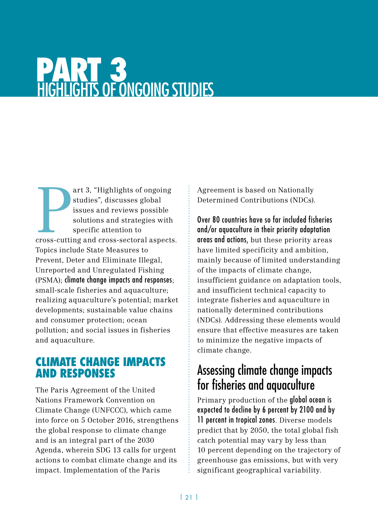# PART 3 HIGHLIGHTS OF ONGOING STUDIES

art 3, "Highlights of ongoing studies", discusses global issues and reviews possible solutions and strategies with specific attention to cross-cutting and cross-sectoral aspects. art 3, "Highlights of ongoing studies", discusses global issues and reviews possible solutions and strategies with specific attention to Topics include State Measures to Prevent, Deter and Eliminate Illegal, Unreported and Unregulated Fishing (PSMA); climate change impacts and responses; small-scale fisheries and aquaculture; realizing aquaculture's potential; market developments; sustainable value chains and consumer protection; ocean pollution; and social issues in fisheries and aquaculture.

### CLIMATE CHANGE IMPACTS AND RESPONSES

The Paris Agreement of the United Nations Framework Convention on Climate Change (UNFCCC), which came into force on 5 October 2016, strengthens the global response to climate change and is an integral part of the 2030 Agenda, wherein SDG 13 calls for urgent actions to combat climate change and its impact. Implementation of the Paris

Agreement is based on Nationally Determined Contributions (NDCs).

Over 80 countries have so far included fisheries and/or aquaculture in their priority adaptation areas and actions, but these priority areas have limited specificity and ambition, mainly because of limited understanding of the impacts of climate change, insufficient guidance on adaptation tools, and insufficient technical capacity to integrate fisheries and aquaculture in nationally determined contributions (NDCs). Addressing these elements would ensure that effective measures are taken to minimize the negative impacts of climate change.

# Assessing climate change impacts for fisheries and aquaculture

Primary production of the global ocean is expected to decline by 6 percent by 2100 and by 11 percent in tropical zones. Diverse models predict that by 2050, the total global fish catch potential may vary by less than 10 percent depending on the trajectory of greenhouse gas emissions, but with very significant geographical variability.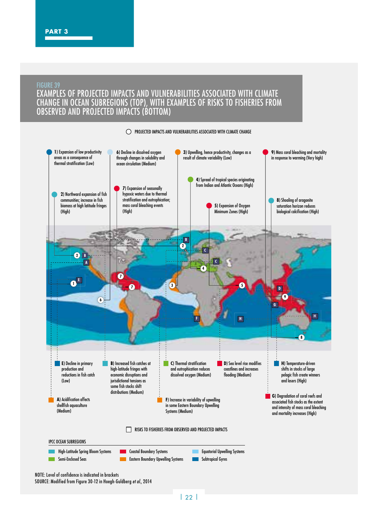#### FIGURE 39 EXAMPLES OF PROJECTED IMPACTS AND VULNERABILITIES ASSOCIATED WITH CLIMATE CHANGE IN OCEAN SUBREGIONS (TOP), WITH EXAMPLES OF RISKS TO FISHERIES FROM OBSERVED AND PROJECTED IMPACTS (BOTTOM)



O PROJECTED IMPACTS AND VULNERABILITIES ASSOCIATED WITH CLIMATE CHANGE

NOTE: Level of confidence is indicated in brackets SOURCE: Modified from Figure 30-12 in Hoegh-Guldberg *et al.*, 2014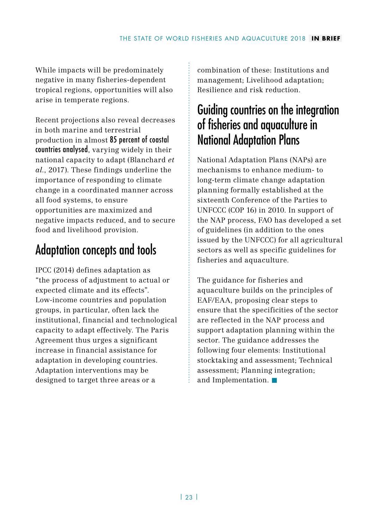While impacts will be predominately negative in many fisheries-dependent tropical regions, opportunities will also arise in temperate regions.

Recent projections also reveal decreases in both marine and terrestrial production in almost 85 percent of coastal countries analysed, varying widely in their national capacity to adapt (Blanchard *et al.*, 2017). These findings underline the importance of responding to climate change in a coordinated manner across all food systems, to ensure opportunities are maximized and negative impacts reduced, and to secure food and livelihood provision.

# Adaptation concepts and tools

IPCC (2014) defines adaptation as "the process of adjustment to actual or expected climate and its effects". Low-income countries and population groups, in particular, often lack the institutional, financial and technological capacity to adapt effectively. The Paris Agreement thus urges a significant increase in financial assistance for adaptation in developing countries. Adaptation interventions may be designed to target three areas or a

combination of these: Institutions and management; Livelihood adaptation; Resilience and risk reduction.

# Guiding countries on the integration of fisheries and aquaculture in National Adaptation Plans

National Adaptation Plans (NAPs) are mechanisms to enhance medium- to long-term climate change adaptation planning formally established at the sixteenth Conference of the Parties to UNFCCC (COP 16) in 2010. In support of the NAP process, FAO has developed a set of guidelines (in addition to the ones issued by the UNFCCC) for all agricultural sectors as well as specific guidelines for fisheries and aquaculture.

The guidance for fisheries and aquaculture builds on the principles of EAF/EAA, proposing clear steps to ensure that the specificities of the sector are reflected in the NAP process and support adaptation planning within the sector. The guidance addresses the following four elements: Institutional stocktaking and assessment; Technical assessment; Planning integration; and Implementation.  $\blacksquare$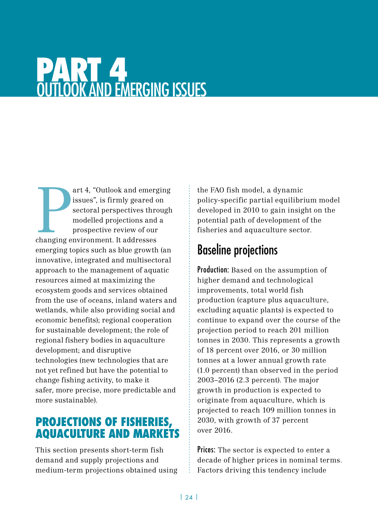# PART 4 OUTLOOK AND EMERGING ISSUES

art 4, "Outlook and emerg<br>issues", is firmly geared c<br>sectoral perspectives thro<br>modelled projections and<br>prospective review of our<br>changing environment. It addresses art 4, "Outlook and emerging issues", is firmly geared on sectoral perspectives through modelled projections and a prospective review of our emerging topics such as blue growth (an innovative, integrated and multisectoral approach to the management of aquatic resources aimed at maximizing the ecosystem goods and services obtained from the use of oceans, inland waters and wetlands, while also providing social and economic benefits); regional cooperation for sustainable development; the role of regional fishery bodies in aquaculture development; and disruptive technologies (new technologies that are not yet refined but have the potential to change fishing activity, to make it safer, more precise, more predictable and more sustainable).

## PROJECTIONS OF FISHERIES, AQUACULTURE AND MARKETS

This section presents short-term fish demand and supply projections and medium-term projections obtained using the FAO fish model, a dynamic policy-specific partial equilibrium model developed in 2010 to gain insight on the potential path of development of the fisheries and aquaculture sector.

# Baseline projections

Production: Based on the assumption of higher demand and technological improvements, total world fish production (capture plus aquaculture, excluding aquatic plants) is expected to continue to expand over the course of the projection period to reach 201 million tonnes in 2030. This represents a growth of 18 percent over 2016, or 30 million tonnes at a lower annual growth rate (1.0 percent) than observed in the period 2003–2016 (2.3 percent). The major growth in production is expected to originate from aquaculture, which is projected to reach 109 million tonnes in 2030, with growth of 37 percent over 2016.

Prices: The sector is expected to enter a decade of higher prices in nominal terms. Factors driving this tendency include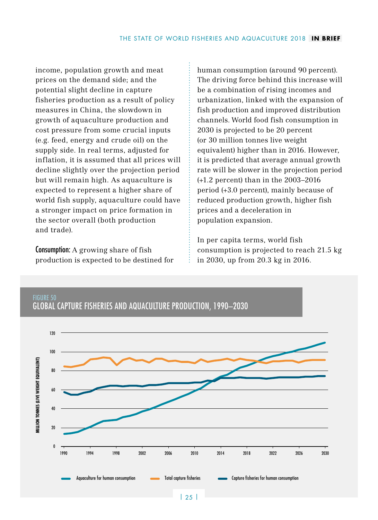income, population growth and meat prices on the demand side; and the potential slight decline in capture fisheries production as a result of policy measures in China, the slowdown in growth of aquaculture production and cost pressure from some crucial inputs (e.g. feed, energy and crude oil) on the supply side. In real terms, adjusted for inflation, it is assumed that all prices will decline slightly over the projection period but will remain high. As aquaculture is expected to represent a higher share of world fish supply, aquaculture could have a stronger impact on price formation in the sector overall (both production and trade).

Consumption: A growing share of fish production is expected to be destined for

FIGURE 50

human consumption (around 90 percent). The driving force behind this increase will be a combination of rising incomes and urbanization, linked with the expansion of fish production and improved distribution channels. World food fish consumption in 2030 is projected to be 20 percent (or 30 million tonnes live weight equivalent) higher than in 2016. However, it is predicted that average annual growth rate will be slower in the projection period (+1.2 percent) than in the 2003–2016 period (+3.0 percent), mainly because of reduced production growth, higher fish prices and a deceleration in population expansion.

In per capita terms, world fish consumption is projected to reach 21.5 kg in 2030, up from 20.3 kg in 2016.



#### GLOBAL CAPTURE FISHERIES AND AQUACULTURE PRODUCTION, 1990–2030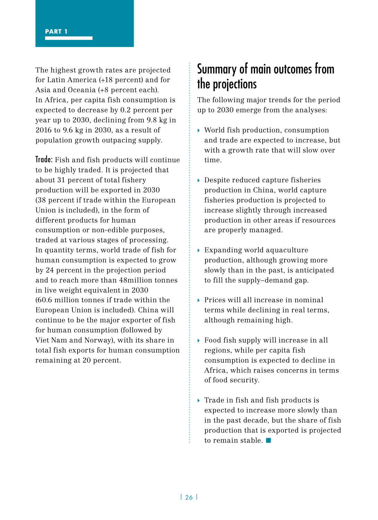The highest growth rates are projected for Latin America (+18 percent) and for Asia and Oceania (+8 percent each). In Africa, per capita fish consumption is expected to decrease by 0.2 percent per year up to 2030, declining from 9.8 kg in 2016 to 9.6 kg in 2030, as a result of population growth outpacing supply.

Trade: Fish and fish products will continue to be highly traded. It is projected that about 31 percent of total fishery production will be exported in 2030 (38 percent if trade within the European Union is included), in the form of different products for human consumption or non-edible purposes, traded at various stages of processing. In quantity terms, world trade of fish for human consumption is expected to grow by 24 percent in the projection period and to reach more than 48million tonnes in live weight equivalent in 2030 (60.6 million tonnes if trade within the European Union is included). China will continue to be the major exporter of fish for human consumption (followed by Viet Nam and Norway), with its share in total fish exports for human consumption remaining at 20 percent.

# Summary of main outcomes from the projections

The following major trends for the period up to 2030 emerge from the analyses:

- } World fish production, consumption and trade are expected to increase, but with a growth rate that will slow over time.
- ▶ Despite reduced capture fisheries production in China, world capture fisheries production is projected to increase slightly through increased production in other areas if resources are properly managed.
- $\rightarrow$  Expanding world aquaculture production, although growing more slowly than in the past, is anticipated to fill the supply–demand gap.
- } Prices will all increase in nominal terms while declining in real terms, although remaining high.
- } Food fish supply will increase in all regions, while per capita fish consumption is expected to decline in Africa, which raises concerns in terms of food security.
- $\blacktriangleright$  Trade in fish and fish products is expected to increase more slowly than in the past decade, but the share of fish production that is exported is projected to remain stable  $\blacksquare$